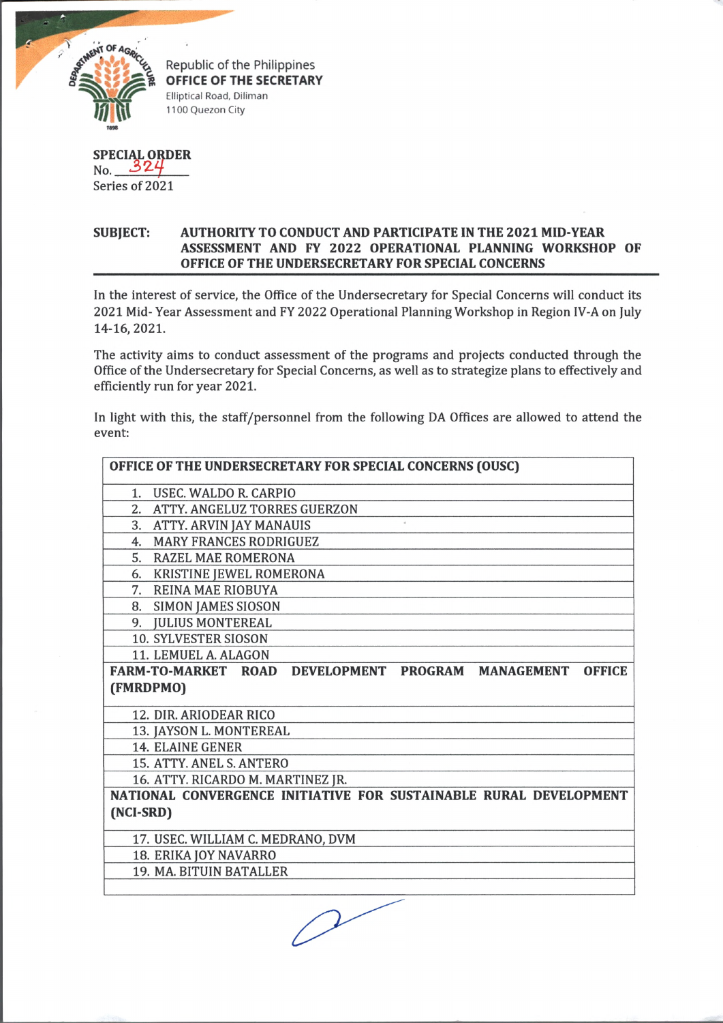

**OFFICE OF THE SECRETARY** Elliptical Road, Diliman 1100 Quezon City

**SPECIAL ORDER**  $No. 324$ Series of 2021

## **SUBJECT: AUTHORITY TO CONDUCT AND PARTICIPATE IN THE 2021 MID YEAR ASSESSMENT AND FY 2022 OPERATIONAL PLANNING WORKSHOP OF OFFICE OF THE UNDERSECRETARY FOR SPECIAL CONCERNS**

In the interest of service, the Office of the Undersecretary for Special Concerns will conduct its 2021 Mid- Year Assessment and FY 2022 Operational Planning Workshop in Region IV-A on July 14-16,2021.

The activity aims to conduct assessment of the programs and projects conducted through the Office of the Undersecretary for Special Concerns, as well as to strategize plans to effectively and efficiently run for year 2021.

In light with this, the staff/personnel from the following DA Offices are allowed to attend the event:

| OFFICE OF THE UNDERSECRETARY FOR SPECIAL CONCERNS (OUSC)                      |
|-------------------------------------------------------------------------------|
| 1. USEC. WALDO R. CARPIO                                                      |
| 2. ATTY. ANGELUZ TORRES GUERZON                                               |
| 3. ATTY. ARVIN JAY MANAUIS                                                    |
| 4. MARY FRANCES RODRIGUEZ                                                     |
| 5. RAZEL MAE ROMERONA                                                         |
| 6. KRISTINE JEWEL ROMERONA                                                    |
| 7. REINA MAE RIOBUYA                                                          |
| 8. SIMON JAMES SIOSON                                                         |
| 9. JULIUS MONTEREAL                                                           |
| 10. SYLVESTER SIOSON                                                          |
| 11. LEMUEL A. ALAGON                                                          |
| DEVELOPMENT PROGRAM MANAGEMENT<br><b>FARM-TO-MARKET ROAD</b><br><b>OFFICE</b> |
| (FMRDPMO)                                                                     |
| 12. DIR. ARIODEAR RICO                                                        |
| 13. JAYSON L. MONTEREAL                                                       |
| <b>14. ELAINE GENER</b>                                                       |
| 15. ATTY, ANEL S. ANTERO                                                      |
| 16. ATTY. RICARDO M. MARTINEZ JR.                                             |
| NATIONAL CONVERGENCE INITIATIVE FOR SUSTAINABLE RURAL DEVELOPMENT             |
| (NCI-SRD)                                                                     |
| 17. USEC. WILLIAM C. MEDRANO, DVM                                             |
| 18. ERIKA JOY NAVARRO                                                         |
| 19. MA. BITUIN BATALLER                                                       |
|                                                                               |